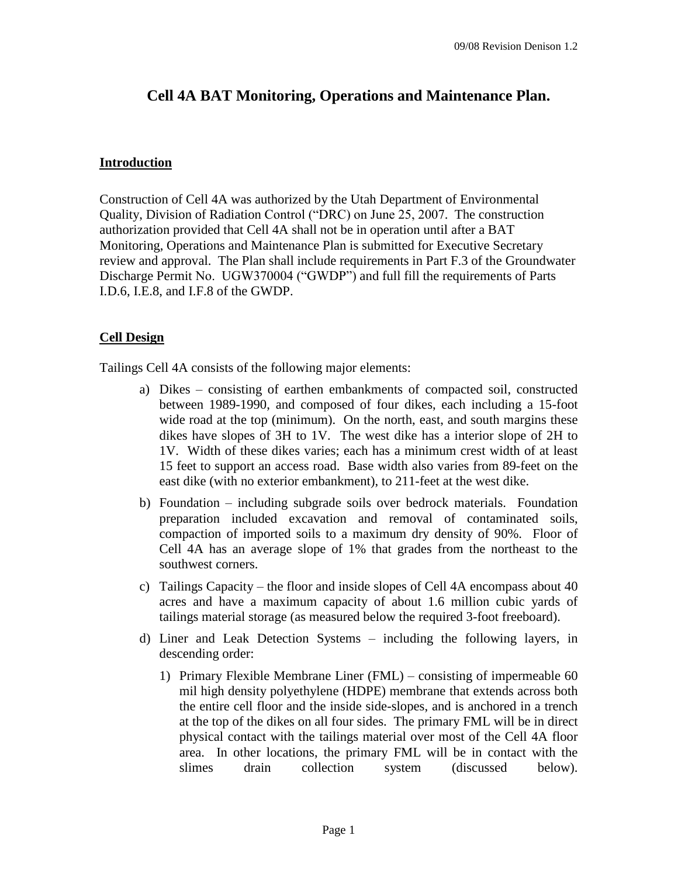# **Cell 4A BAT Monitoring, Operations and Maintenance Plan.**

## **Introduction**

Construction of Cell 4A was authorized by the Utah Department of Environmental Quality, Division of Radiation Control ("DRC) on June 25, 2007. The construction authorization provided that Cell 4A shall not be in operation until after a BAT Monitoring, Operations and Maintenance Plan is submitted for Executive Secretary review and approval. The Plan shall include requirements in Part F.3 of the Groundwater Discharge Permit No. UGW370004 ("GWDP") and full fill the requirements of Parts I.D.6, I.E.8, and I.F.8 of the GWDP.

# **Cell Design**

Tailings Cell 4A consists of the following major elements:

- a) Dikes consisting of earthen embankments of compacted soil, constructed between 1989-1990, and composed of four dikes, each including a 15-foot wide road at the top (minimum). On the north, east, and south margins these dikes have slopes of 3H to 1V. The west dike has a interior slope of 2H to 1V. Width of these dikes varies; each has a minimum crest width of at least 15 feet to support an access road. Base width also varies from 89-feet on the east dike (with no exterior embankment), to 211-feet at the west dike.
- b) Foundation including subgrade soils over bedrock materials. Foundation preparation included excavation and removal of contaminated soils, compaction of imported soils to a maximum dry density of 90%. Floor of Cell 4A has an average slope of 1% that grades from the northeast to the southwest corners.
- c) Tailings Capacity the floor and inside slopes of Cell  $4A$  encompass about  $40$ acres and have a maximum capacity of about 1.6 million cubic yards of tailings material storage (as measured below the required 3-foot freeboard).
- d) Liner and Leak Detection Systems –including the following layers, in descending order:
	- 1) Primary Flexible Membrane Liner  $(FML)$  consisting of impermeable 60 mil high density polyethylene (HDPE) membrane that extends across both the entire cell floor and the inside side-slopes, and is anchored in a trench at the top of the dikes on all four sides. The primary FML will be in direct physical contact with the tailings material over most of the Cell 4A floor area. In other locations, the primary FML will be in contact with the slimes drain collection system (discussed below).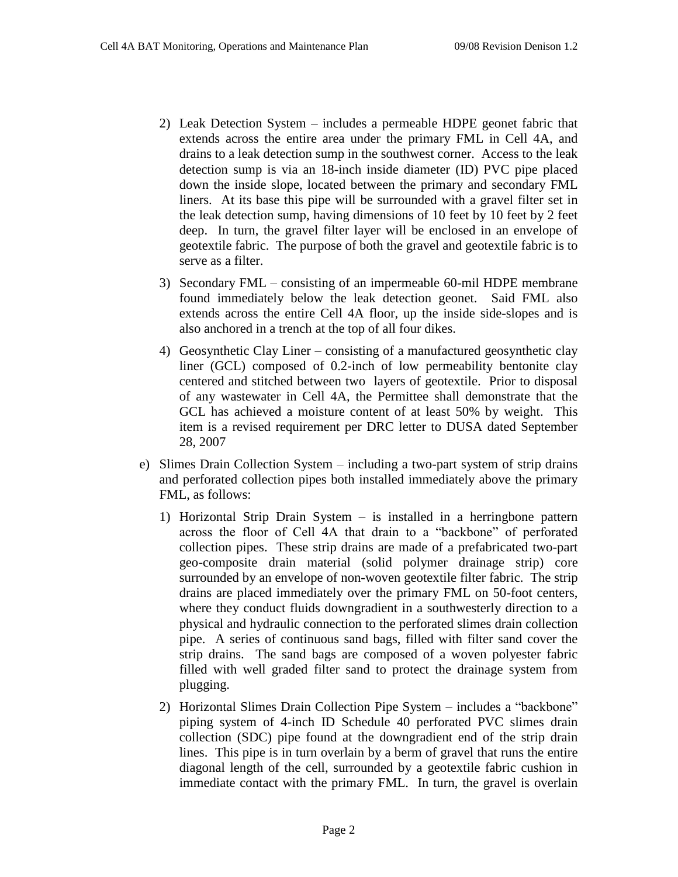- 2) Leak Detection System –includes a permeable HDPE geonet fabric that extends across the entire area under the primary FML in Cell 4A, and drains to a leak detection sump in the southwest corner. Access to the leak detection sump is via an 18-inch inside diameter (ID) PVC pipe placed down the inside slope, located between the primary and secondary FML liners. At its base this pipe will be surrounded with a gravel filter set in the leak detection sump, having dimensions of 10 feet by 10 feet by 2 feet deep. In turn, the gravel filter layer will be enclosed in an envelope of geotextile fabric. The purpose of both the gravel and geotextile fabric is to serve as a filter.
- 3) Secondary FML –consisting of an impermeable 60-mil HDPE membrane found immediately below the leak detection geonet. Said FML also extends across the entire Cell 4A floor, up the inside side-slopes and is also anchored in a trench at the top of all four dikes.
- 4) Geosynthetic Clay Liner –consisting of a manufactured geosynthetic clay liner (GCL) composed of 0.2-inch of low permeability bentonite clay centered and stitched between two layers of geotextile. Prior to disposal of any wastewater in Cell 4A, the Permittee shall demonstrate that the GCL has achieved a moisture content of at least 50% by weight. This item is a revised requirement per DRC letter to DUSA dated September 28, 2007
- e) Slimes Drain Collection System –including a two-part system of strip drains and perforated collection pipes both installed immediately above the primary FML, as follows:
	- 1) Horizontal Strip Drain System is installed in a herringbone pattern across the floor of Cell 4A that drain to a "backbone" of perforated collection pipes. These strip drains are made of a prefabricated two-part geo-composite drain material (solid polymer drainage strip) core surrounded by an envelope of non-woven geotextile filter fabric. The strip drains are placed immediately over the primary FML on 50-foot centers, where they conduct fluids downgradient in a southwesterly direction to a physical and hydraulic connection to the perforated slimes drain collection pipe. A series of continuous sand bags, filled with filter sand cover the strip drains. The sand bags are composed of a woven polyester fabric filled with well graded filter sand to protect the drainage system from plugging.
	- 2) Horizontal Slimes Drain Collection Pipe System –includes a "backbone" piping system of 4-inch ID Schedule 40 perforated PVC slimes drain collection (SDC) pipe found at the downgradient end of the strip drain lines. This pipe is in turn overlain by a berm of gravel that runs the entire diagonal length of the cell, surrounded by a geotextile fabric cushion in immediate contact with the primary FML. In turn, the gravel is overlain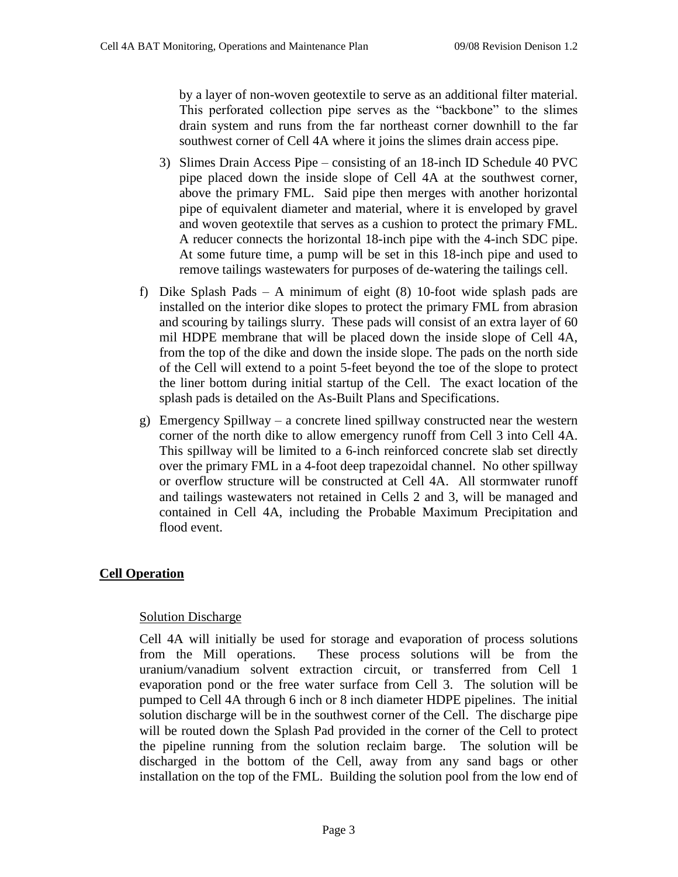by a layer of non-woven geotextile to serve as an additional filter material. This perforated collection pipe serves as the "backbone" to the slimes drain system and runs from the far northeast corner downhill to the far southwest corner of Cell 4A where it joins the slimes drain access pipe.

- 3) Slimes Drain Access Pipe consisting of an 18-inch ID Schedule 40 PVC pipe placed down the inside slope of Cell 4A at the southwest corner, above the primary FML. Said pipe then merges with another horizontal pipe of equivalent diameter and material, where it is enveloped by gravel and woven geotextile that serves as a cushion to protect the primary FML. A reducer connects the horizontal 18-inch pipe with the 4-inch SDC pipe. At some future time, a pump will be set in this 18-inch pipe and used to remove tailings wastewaters for purposes of de-watering the tailings cell.
- f) Dike Splash Pads A minimum of eight  $(8)$  10-foot wide splash pads are installed on the interior dike slopes to protect the primary FML from abrasion and scouring by tailings slurry. These pads will consist of an extra layer of 60 mil HDPE membrane that will be placed down the inside slope of Cell 4A, from the top of the dike and down the inside slope. The pads on the north side of the Cell will extend to a point 5-feet beyond the toe of the slope to protect the liner bottom during initial startup of the Cell. The exact location of the splash pads is detailed on the As-Built Plans and Specifications.
- g) Emergency Spillway –a concrete lined spillway constructed near the western corner of the north dike to allow emergency runoff from Cell 3 into Cell 4A. This spillway will be limited to a 6-inch reinforced concrete slab set directly over the primary FML in a 4-foot deep trapezoidal channel. No other spillway or overflow structure will be constructed at Cell 4A. All stormwater runoff and tailings wastewaters not retained in Cells 2 and 3, will be managed and contained in Cell 4A, including the Probable Maximum Precipitation and flood event.

# **Cell Operation**

# Solution Discharge

Cell 4A will initially be used for storage and evaporation of process solutions from the Mill operations. These process solutions will be from the uranium/vanadium solvent extraction circuit, or transferred from Cell 1 evaporation pond or the free water surface from Cell 3. The solution will be pumped to Cell 4A through 6 inch or 8 inch diameter HDPE pipelines. The initial solution discharge will be in the southwest corner of the Cell. The discharge pipe will be routed down the Splash Pad provided in the corner of the Cell to protect the pipeline running from the solution reclaim barge. The solution will be discharged in the bottom of the Cell, away from any sand bags or other installation on the top of the FML. Building the solution pool from the low end of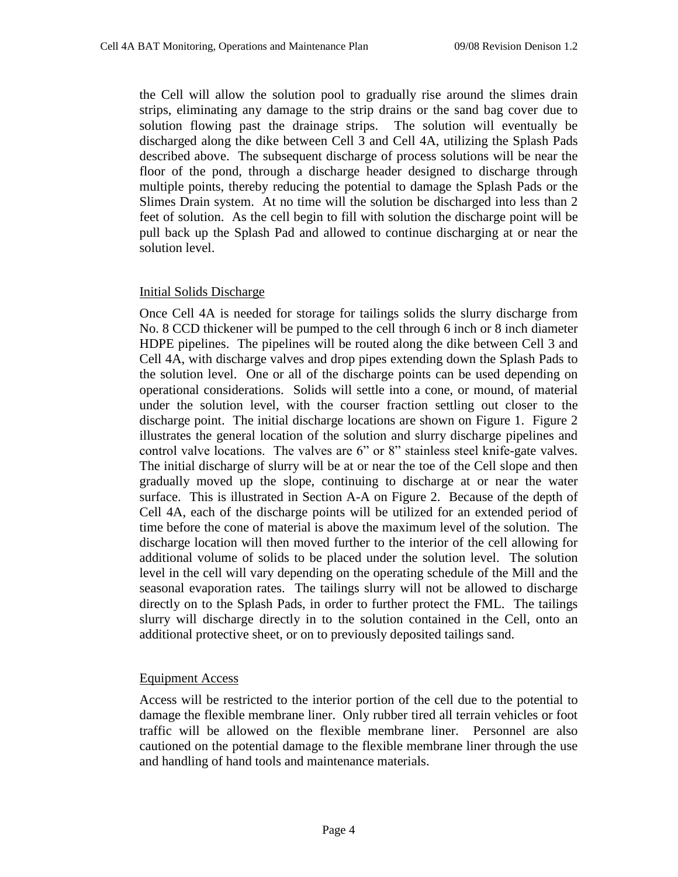the Cell will allow the solution pool to gradually rise around the slimes drain strips, eliminating any damage to the strip drains or the sand bag cover due to solution flowing past the drainage strips. The solution will eventually be discharged along the dike between Cell 3 and Cell 4A, utilizing the Splash Pads described above. The subsequent discharge of process solutions will be near the floor of the pond, through a discharge header designed to discharge through multiple points, thereby reducing the potential to damage the Splash Pads or the Slimes Drain system. At no time will the solution be discharged into less than 2 feet of solution. As the cell begin to fill with solution the discharge point will be pull back up the Splash Pad and allowed to continue discharging at or near the solution level.

## Initial Solids Discharge

Once Cell 4A is needed for storage for tailings solids the slurry discharge from No. 8 CCD thickener will be pumped to the cell through 6 inch or 8 inch diameter HDPE pipelines. The pipelines will be routed along the dike between Cell 3 and Cell 4A, with discharge valves and drop pipes extending down the Splash Pads to the solution level. One or all of the discharge points can be used depending on operational considerations. Solids will settle into a cone, or mound, of material under the solution level, with the courser fraction settling out closer to the discharge point. The initial discharge locations are shown on Figure 1. Figure 2 illustrates the general location of the solution and slurry discharge pipelines and control valvel locations. The valves are  $6"$  or  $8"$  stainless steel knife-gate valves. The initial discharge of slurry will be at or near the toe of the Cell slope and then gradually moved up the slope, continuing to discharge at or near the water surface. This is illustrated in Section A-A on Figure 2. Because of the depth of Cell 4A, each of the discharge points will be utilized for an extended period of time before the cone of material is above the maximum level of the solution. The discharge location will then moved further to the interior of the cell allowing for additional volume of solids to be placed under the solution level. The solution level in the cell will vary depending on the operating schedule of the Mill and the seasonal evaporation rates. The tailings slurry will not be allowed to discharge directly on to the Splash Pads, in order to further protect the FML. The tailings slurry will discharge directly in to the solution contained in the Cell, onto an additional protective sheet, or on to previously deposited tailings sand.

# Equipment Access

Access will be restricted to the interior portion of the cell due to the potential to damage the flexible membrane liner. Only rubber tired all terrain vehicles or foot traffic will be allowed on the flexible membrane liner. Personnel are also cautioned on the potential damage to the flexible membrane liner through the use and handling of hand tools and maintenance materials.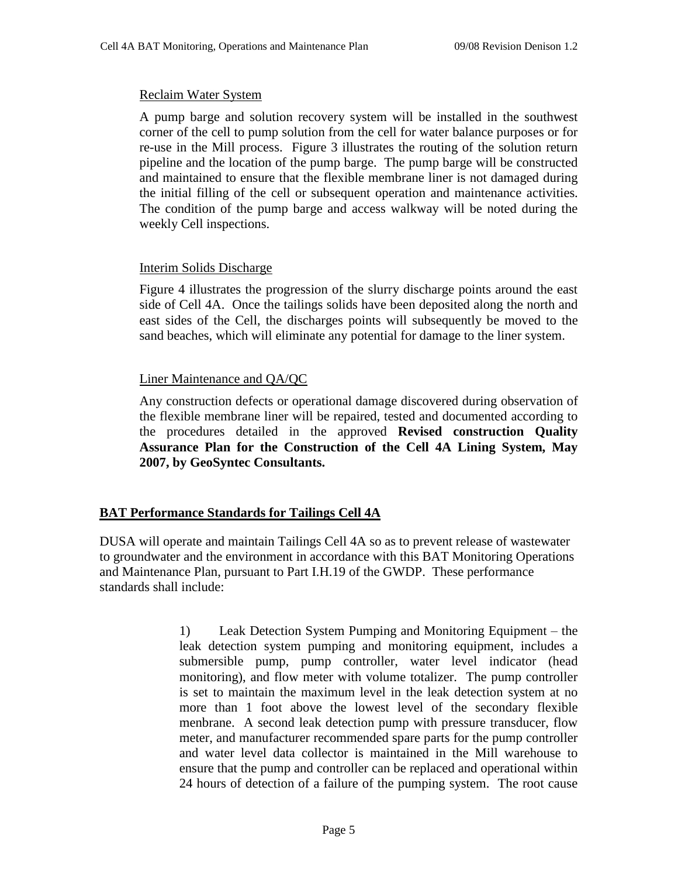#### Reclaim Water System

A pump barge and solution recovery system will be installed in the southwest corner of the cell to pump solution from the cell for water balance purposes or for re-use in the Mill process. Figure 3 illustrates the routing of the solution return pipeline and the location of the pump barge. The pump barge will be constructed and maintained to ensure that the flexible membrane liner is not damaged during the initial filling of the cell or subsequent operation and maintenance activities. The condition of the pump barge and access walkway will be noted during the weekly Cell inspections.

#### Interim Solids Discharge

Figure 4 illustrates the progression of the slurry discharge points around the east side of Cell 4A. Once the tailings solids have been deposited along the north and east sides of the Cell, the discharges points will subsequently be moved to the sand beaches, which will eliminate any potential for damage to the liner system.

## Liner Maintenance and QA/QC

Any construction defects or operational damage discovered during observation of the flexible membrane liner will be repaired, tested and documented according to the procedures detailed in the approved **Revised construction Quality Assurance Plan for the Construction of the Cell 4A Lining System, May 2007, by GeoSyntec Consultants.**

#### **BAT Performance Standards for Tailings Cell 4A**

DUSA will operate and maintain Tailings Cell 4A so as to prevent release of wastewater to groundwater and the environment in accordance with this BAT Monitoring Operations and Maintenance Plan, pursuant to Part I.H.19 of the GWDP. These performance standards shall include:

> 1) Leak Detection System Pumping and Monitoring Equipment –the leak detection system pumping and monitoring equipment, includes a submersible pump, pump controller, water level indicator (head monitoring), and flow meter with volume totalizer. The pump controller is set to maintain the maximum level in the leak detection system at no more than 1 foot above the lowest level of the secondary flexible menbrane. A second leak detection pump with pressure transducer, flow meter, and manufacturer recommended spare parts for the pump controller and water level data collector is maintained in the Mill warehouse to ensure that the pump and controller can be replaced and operational within 24 hours of detection of a failure of the pumping system. The root cause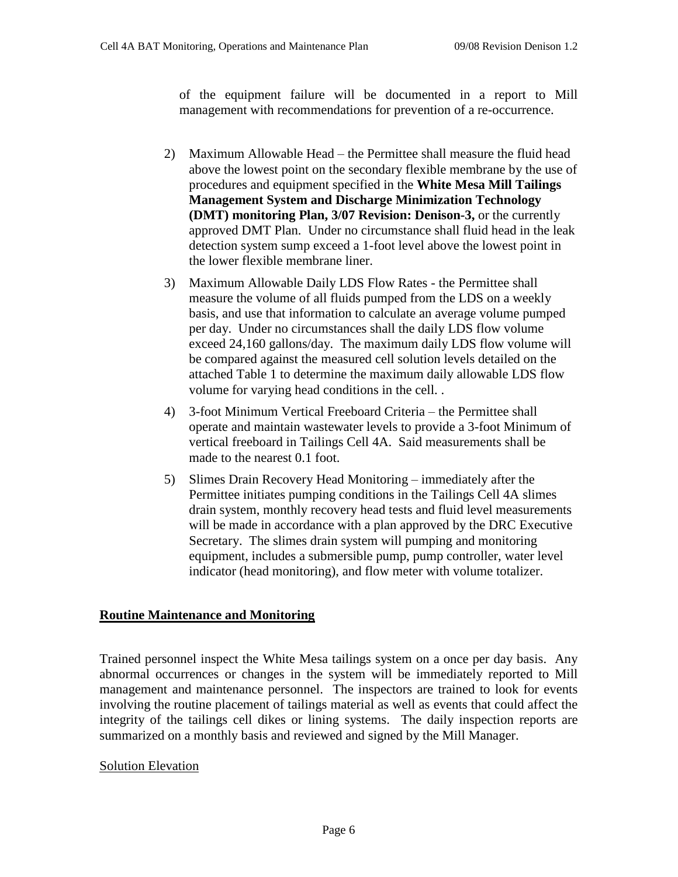of the equipment failure will be documented in a report to Mill management with recommendations for prevention of a re-occurrence.

- 2) Maximum Allowable Head the Permittee shall measure the fluid head above the lowest point on the secondary flexible membrane by the use of procedures and equipment specified in the **White Mesa Mill Tailings Management System and Discharge Minimization Technology (DMT) monitoring Plan, 3/07 Revision: Denison-3,** or the currently approved DMT Plan. Under no circumstance shall fluid head in the leak detection system sump exceed a 1-foot level above the lowest point in the lower flexible membrane liner.
- 3) Maximum Allowable Daily LDS Flow Rates the Permittee shall measure the volume of all fluids pumped from the LDS on a weekly basis, and use that information to calculate an average volume pumped per day. Under no circumstances shall the daily LDS flow volume exceed 24,160 gallons/day. The maximum daily LDS flow volume will be compared against the measured cell solution levels detailed on the attached Table 1 to determine the maximum daily allowable LDS flow volume for varying head conditions in the cell. .
- 4) 3-foot Minimum Vertical Freeboard Criteria the Permittee shall operate and maintain wastewater levels to provide a 3-foot Minimum of vertical freeboard in Tailings Cell 4A. Said measurements shall be made to the nearest 0.1 foot.
- 5) Slimes Drain Recovery Head Monitoring –immediately after the Permittee initiates pumping conditions in the Tailings Cell 4A slimes drain system, monthly recovery head tests and fluid level measurements will be made in accordance with a plan approved by the DRC Executive Secretary. The slimes drain system will pumping and monitoring equipment, includes a submersible pump, pump controller, water level indicator (head monitoring), and flow meter with volume totalizer.

# **Routine Maintenance and Monitoring**

Trained personnel inspect the White Mesa tailings system on a once per day basis. Any abnormal occurrences or changes in the system will be immediately reported to Mill management and maintenance personnel. The inspectors are trained to look for events involving the routine placement of tailings material as well as events that could affect the integrity of the tailings cell dikes or lining systems. The daily inspection reports are summarized on a monthly basis and reviewed and signed by the Mill Manager.

# Solution Elevation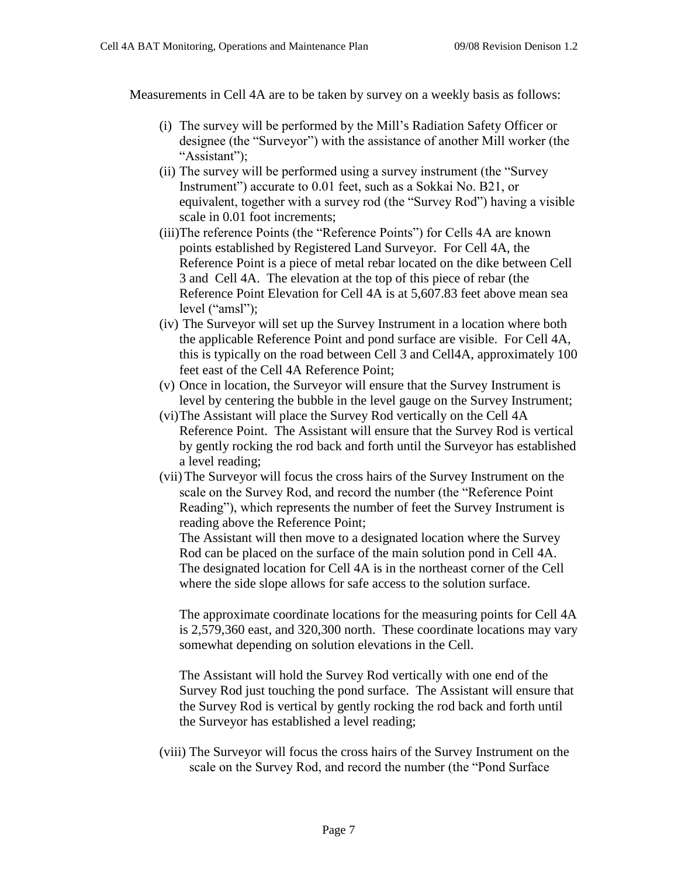Measurements in Cell 4A are to be taken by survey on a weekly basis as follows:

- (i) The survey will be performed by the Mill's Radiation Safety Officer or designee (the "Surveyor") with the assistance of another Mill worker (the "Assistant");
- (ii) The survey will be performed using a survey instrument (the "Survey") Instrument") accurate to 0.01 feet, such as a Sokkai No. B21, or equivalent, together with a survey rod (the "Survey Rod") having a visible scale in 0.01 foot increments;
- (iii)The reference Points (the "Reference Points") for Cells 4A are known points established by Registered Land Surveyor. For Cell 4A, the Reference Point is a piece of metal rebar located on the dike between Cell 3 and Cell 4A. The elevation at the top of this piece of rebar (the Reference Point Elevation for Cell 4A is at 5,607.83 feet above mean sea level("amsl");
- (iv) The Surveyor will set up the Survey Instrument in a location where both the applicable Reference Point and pond surface are visible. For Cell 4A, this is typically on the road between Cell 3 and Cell4A, approximately 100 feet east of the Cell 4A Reference Point;
- (v) Once in location, the Surveyor will ensure that the Survey Instrument is level by centering the bubble in the level gauge on the Survey Instrument;
- (vi)The Assistant will place the Survey Rod vertically on the Cell 4A Reference Point. The Assistant will ensure that the Survey Rod is vertical by gently rocking the rod back and forth until the Surveyor has established a level reading;
- (vii) The Surveyor will focus the cross hairs of the Survey Instrument on the scale on the Survey Rod, and record the number (the "Reference Point" Reading"), which represents the number of feet the Survey Instrument is reading above the Reference Point;

The Assistant will then move to a designated location where the Survey Rod can be placed on the surface of the main solution pond in Cell 4A. The designated location for Cell 4A is in the northeast corner of the Cell where the side slope allows for safe access to the solution surface.

The approximate coordinate locations for the measuring points for Cell 4A is 2,579,360 east, and 320,300 north. These coordinate locations may vary somewhat depending on solution elevations in the Cell.

The Assistant will hold the Survey Rod vertically with one end of the Survey Rod just touching the pond surface. The Assistant will ensure that the Survey Rod is vertical by gently rocking the rod back and forth until the Surveyor has established a level reading;

(viii) The Surveyor will focus the cross hairs of the Survey Instrument on the scale on the Survey Rod, and record the number (the "Pond Surface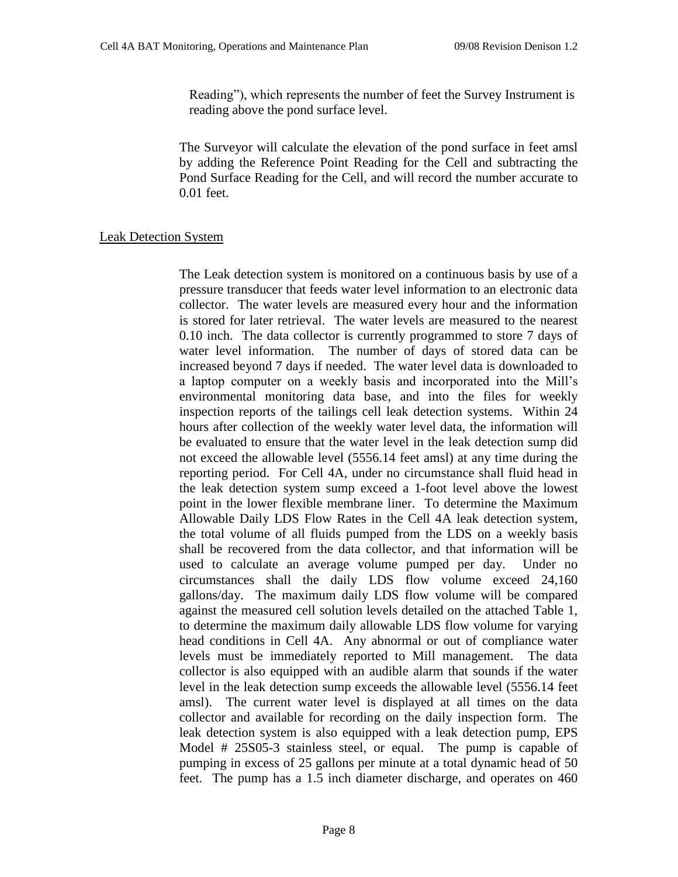Reading"), which represents the number of feet the Survey Instrument is reading above the pond surface level.

The Surveyor will calculate the elevation of the pond surface in feet amsl by adding the Reference Point Reading for the Cell and subtracting the Pond Surface Reading for the Cell, and will record the number accurate to 0.01 feet.

## Leak Detection System

The Leak detection system is monitored on a continuous basis by use of a pressure transducer that feeds water level information to an electronic data collector. The water levels are measured every hour and the information is stored for later retrieval. The water levels are measured to the nearest 0.10 inch. The data collector is currently programmed to store 7 days of water level information. The number of days of stored data can be increased beyond 7 days if needed. The water level data is downloaded to a laptop computer on a weekly basis and incorporated into the Mill's environmental monitoring data base, and into the files for weekly inspection reports of the tailings cell leak detection systems. Within 24 hours after collection of the weekly water level data, the information will be evaluated to ensure that the water level in the leak detection sump did not exceed the allowable level (5556.14 feet amsl) at any time during the reporting period. For Cell 4A, under no circumstance shall fluid head in the leak detection system sump exceed a 1-foot level above the lowest point in the lower flexible membrane liner. To determine the Maximum Allowable Daily LDS Flow Rates in the Cell 4A leak detection system, the total volume of all fluids pumped from the LDS on a weekly basis shall be recovered from the data collector, and that information will be used to calculate an average volume pumped per day. Under no circumstances shall the daily LDS flow volume exceed 24,160 gallons/day. The maximum daily LDS flow volume will be compared against the measured cell solution levels detailed on the attached Table 1, to determine the maximum daily allowable LDS flow volume for varying head conditions in Cell 4A. Any abnormal or out of compliance water levels must be immediately reported to Mill management. The data collector is also equipped with an audible alarm that sounds if the water level in the leak detection sump exceeds the allowable level (5556.14 feet amsl). The current water level is displayed at all times on the data collector and available for recording on the daily inspection form. The leak detection system is also equipped with a leak detection pump, EPS Model # 25S05-3 stainless steel, or equal. The pump is capable of pumping in excess of 25 gallons per minute at a total dynamic head of 50 feet. The pump has a 1.5 inch diameter discharge, and operates on 460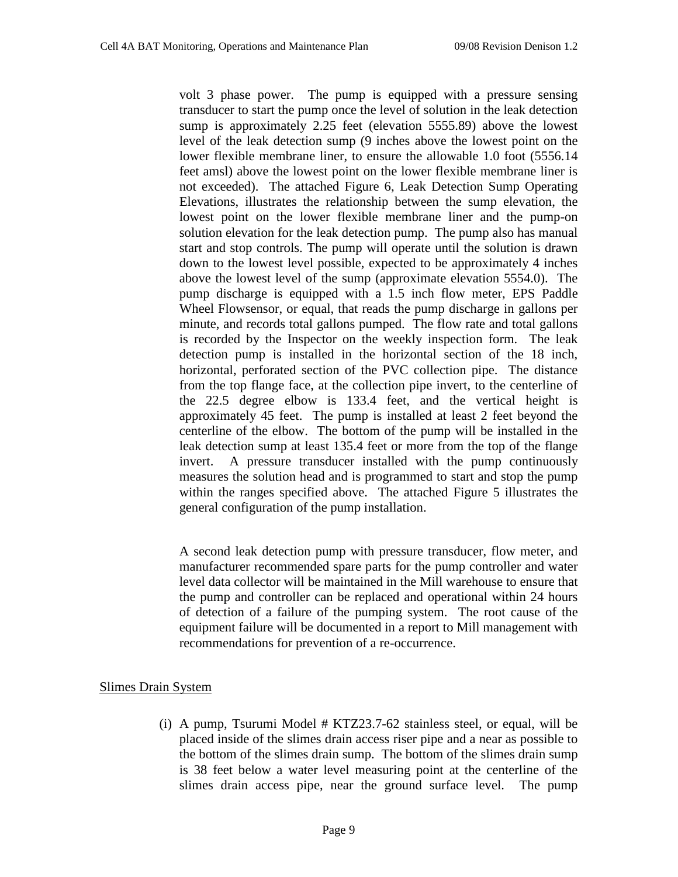volt 3 phase power. The pump is equipped with a pressure sensing transducer to start the pump once the level of solution in the leak detection sump is approximately 2.25 feet (elevation 5555.89) above the lowest level of the leak detection sump (9 inches above the lowest point on the lower flexible membrane liner, to ensure the allowable 1.0 foot (5556.14 feet amsl) above the lowest point on the lower flexible membrane liner is not exceeded). The attached Figure 6, Leak Detection Sump Operating Elevations, illustrates the relationship between the sump elevation, the lowest point on the lower flexible membrane liner and the pump-on solution elevation for the leak detection pump. The pump also has manual start and stop controls. The pump will operate until the solution is drawn down to the lowest level possible, expected to be approximately 4 inches above the lowest level of the sump (approximate elevation 5554.0). The pump discharge is equipped with a 1.5 inch flow meter, EPS Paddle Wheel Flowsensor, or equal, that reads the pump discharge in gallons per minute, and records total gallons pumped. The flow rate and total gallons is recorded by the Inspector on the weekly inspection form. The leak detection pump is installed in the horizontal section of the 18 inch, horizontal, perforated section of the PVC collection pipe. The distance from the top flange face, at the collection pipe invert, to the centerline of the 22.5 degree elbow is 133.4 feet, and the vertical height is approximately 45 feet. The pump is installed at least 2 feet beyond the centerline of the elbow. The bottom of the pump will be installed in the leak detection sump at least 135.4 feet or more from the top of the flange invert. A pressure transducer installed with the pump continuously measures the solution head and is programmed to start and stop the pump within the ranges specified above. The attached Figure 5 illustrates the general configuration of the pump installation.

A second leak detection pump with pressure transducer, flow meter, and manufacturer recommended spare parts for the pump controller and water level data collector will be maintained in the Mill warehouse to ensure that the pump and controller can be replaced and operational within 24 hours of detection of a failure of the pumping system. The root cause of the equipment failure will be documented in a report to Mill management with recommendations for prevention of a re-occurrence.

# Slimes Drain System

(i) A pump, Tsurumi Model # KTZ23.7-62 stainless steel, or equal, will be placed inside of the slimes drain access riser pipe and a near as possible to the bottom of the slimes drain sump. The bottom of the slimes drain sump is 38 feet below a water level measuring point at the centerline of the slimes drain access pipe, near the ground surface level. The pump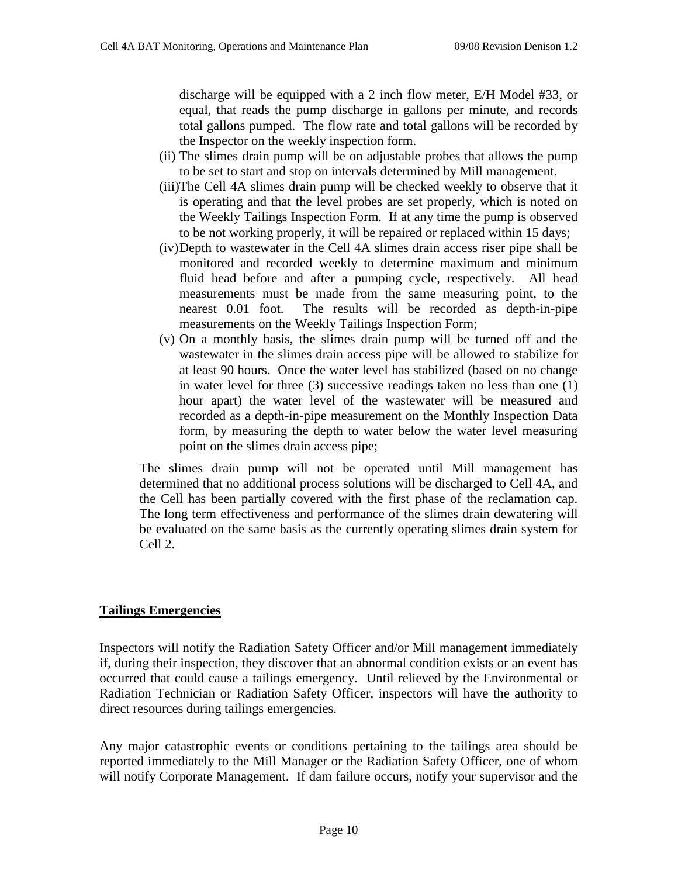discharge will be equipped with a 2 inch flow meter, E/H Model #33, or equal, that reads the pump discharge in gallons per minute, and records total gallons pumped. The flow rate and total gallons will be recorded by the Inspector on the weekly inspection form.

- (ii) The slimes drain pump will be on adjustable probes that allows the pump to be set to start and stop on intervals determined by Mill management.
- (iii)The Cell 4A slimes drain pump will be checked weekly to observe that it is operating and that the level probes are set properly, which is noted on the Weekly Tailings Inspection Form. If at any time the pump is observed to be not working properly, it will be repaired or replaced within 15 days;
- (iv)Depth to wastewater in the Cell 4A slimes drain access riser pipe shall be monitored and recorded weekly to determine maximum and minimum fluid head before and after a pumping cycle, respectively. All head measurements must be made from the same measuring point, to the nearest 0.01 foot. The results will be recorded as depth-in-pipe measurements on the Weekly Tailings Inspection Form;
- (v) On a monthly basis, the slimes drain pump will be turned off and the wastewater in the slimes drain access pipe will be allowed to stabilize for at least 90 hours. Once the water level has stabilized (based on no change in water level for three (3) successive readings taken no less than one (1) hour apart) the water level of the wastewater will be measured and recorded as a depth-in-pipe measurement on the Monthly Inspection Data form, by measuring the depth to water below the water level measuring point on the slimes drain access pipe;

The slimes drain pump will not be operated until Mill management has determined that no additional process solutions will be discharged to Cell 4A, and the Cell has been partially covered with the first phase of the reclamation cap. The long term effectiveness and performance of the slimes drain dewatering will be evaluated on the same basis as the currently operating slimes drain system for Cell 2.

# **Tailings Emergencies**

Inspectors will notify the Radiation Safety Officer and/or Mill management immediately if, during their inspection, they discover that an abnormal condition exists or an event has occurred that could cause a tailings emergency. Until relieved by the Environmental or Radiation Technician or Radiation Safety Officer, inspectors will have the authority to direct resources during tailings emergencies.

Any major catastrophic events or conditions pertaining to the tailings area should be reported immediately to the Mill Manager or the Radiation Safety Officer, one of whom will notify Corporate Management. If dam failure occurs, notify your supervisor and the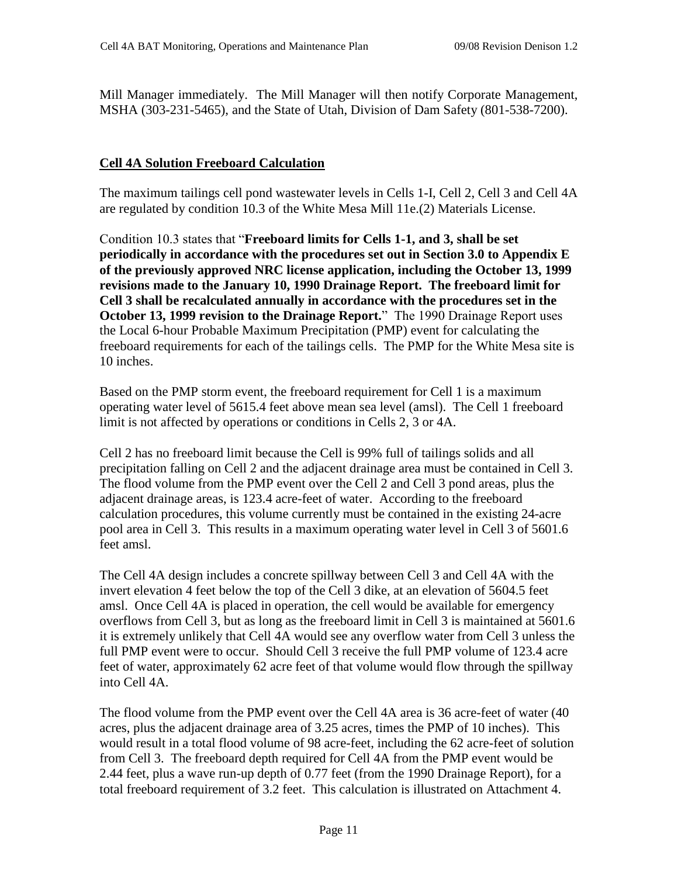Mill Manager immediately. The Mill Manager will then notify Corporate Management, MSHA (303-231-5465), and the State of Utah, Division of Dam Safety (801-538-7200).

## **Cell 4A Solution Freeboard Calculation**

The maximum tailings cell pond wastewater levels in Cells 1-I, Cell 2, Cell 3 and Cell 4A are regulated by condition 10.3 of the White Mesa Mill 11e.(2) Materials License.

Condition 10.3 states that "Freeboard limits for Cells 1-1, and 3, shall be set **periodically in accordance with the procedures set out in Section 3.0 to Appendix E of the previously approved NRC license application, including the October 13, 1999 revisions made to the January 10, 1990 Drainage Report. The freeboard limit for Cell 3 shall be recalculated annually in accordance with the procedures set in the October 13, 1999 revision to the Drainage Report.**" The 1990 Drainage Report uses the Local 6-hour Probable Maximum Precipitation (PMP) event for calculating the freeboard requirements for each of the tailings cells. The PMP for the White Mesa site is 10 inches.

Based on the PMP storm event, the freeboard requirement for Cell 1 is a maximum operating water level of 5615.4 feet above mean sea level (amsl). The Cell 1 freeboard limit is not affected by operations or conditions in Cells 2, 3 or 4A.

Cell 2 has no freeboard limit because the Cell is 99% full of tailings solids and all precipitation falling on Cell 2 and the adjacent drainage area must be contained in Cell 3. The flood volume from the PMP event over the Cell 2 and Cell 3 pond areas, plus the adjacent drainage areas, is 123.4 acre-feet of water. According to the freeboard calculation procedures, this volume currently must be contained in the existing 24-acre pool area in Cell 3. This results in a maximum operating water level in Cell 3 of 5601.6 feet amsl.

The Cell 4A design includes a concrete spillway between Cell 3 and Cell 4A with the invert elevation 4 feet below the top of the Cell 3 dike, at an elevation of 5604.5 feet amsl. Once Cell 4A is placed in operation, the cell would be available for emergency overflows from Cell 3, but as long as the freeboard limit in Cell 3 is maintained at 5601.6 it is extremely unlikely that Cell 4A would see any overflow water from Cell 3 unless the full PMP event were to occur. Should Cell 3 receive the full PMP volume of 123.4 acre feet of water, approximately 62 acre feet of that volume would flow through the spillway into Cell 4A.

The flood volume from the PMP event over the Cell 4A area is 36 acre-feet of water (40 acres, plus the adjacent drainage area of 3.25 acres, times the PMP of 10 inches). This would result in a total flood volume of 98 acre-feet, including the 62 acre-feet of solution from Cell 3. The freeboard depth required for Cell 4A from the PMP event would be 2.44 feet, plus a wave run-up depth of 0.77 feet (from the 1990 Drainage Report), for a total freeboard requirement of 3.2 feet. This calculation is illustrated on Attachment 4.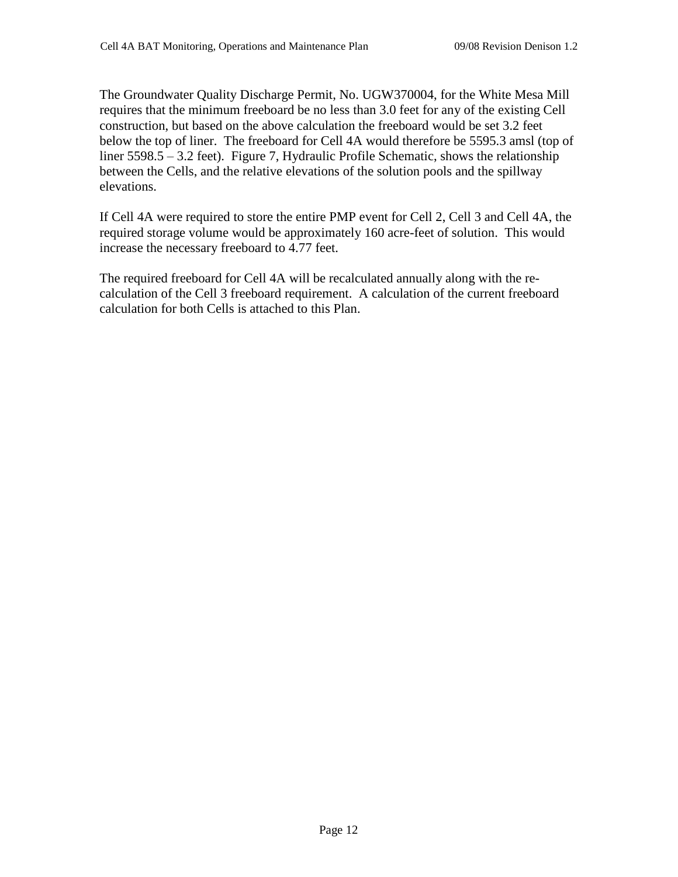The Groundwater Quality Discharge Permit, No. UGW370004, for the White Mesa Mill requires that the minimum freeboard be no less than 3.0 feet for any of the existing Cell construction, but based on the above calculation the freeboard would be set 3.2 feet below the top of liner. The freeboard for Cell 4A would therefore be 5595.3 amsl (top of liner 5598.5 – 3.2 feet). Figure 7, Hydraulic Profile Schematic, shows the relationship between the Cells, and the relative elevations of the solution pools and the spillway elevations.

If Cell 4A were required to store the entire PMP event for Cell 2, Cell 3 and Cell 4A, the required storage volume would be approximately 160 acre-feet of solution. This would increase the necessary freeboard to 4.77 feet.

The required freeboard for Cell 4A will be recalculated annually along with the recalculation of the Cell 3 freeboard requirement. A calculation of the current freeboard calculation for both Cells is attached to this Plan.